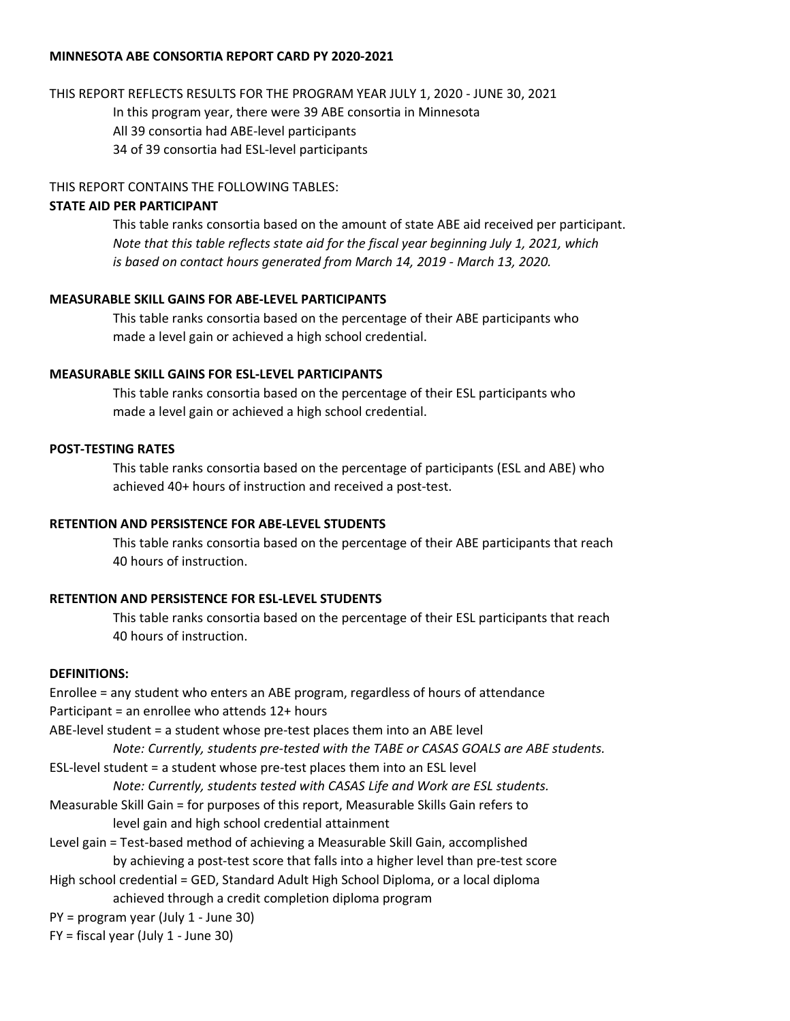#### MINNESOTA ABE CONSORTIA REPORT CARD PY 2020-2021

#### THIS REPORT REFLECTS RESULTS FOR THE PROGRAM YEAR JULY 1, 2020 - JUNE 30, 2021

In this program year, there were 39 ABE consortia in Minnesota

All 39 consortia had ABE-level participants

34 of 39 consortia had ESL-level participants

#### THIS REPORT CONTAINS THE FOLLOWING TABLES:

#### STATE AID PER PARTICIPANT

This table ranks consortia based on the amount of state ABE aid received per participant. Note that this table reflects state aid for the fiscal year beginning July 1, 2021, which is based on contact hours generated from March 14, 2019 - March 13, 2020.

#### MEASURABLE SKILL GAINS FOR ABE-LEVEL PARTICIPANTS

This table ranks consortia based on the percentage of their ABE participants who made a level gain or achieved a high school credential.

#### MEASURABLE SKILL GAINS FOR ESL-LEVEL PARTICIPANTS

This table ranks consortia based on the percentage of their ESL participants who made a level gain or achieved a high school credential.

#### POST-TESTING RATES

This table ranks consortia based on the percentage of participants (ESL and ABE) who achieved 40+ hours of instruction and received a post-test.

### RETENTION AND PERSISTENCE FOR ABE-LEVEL STUDENTS

This table ranks consortia based on the percentage of their ABE participants that reach 40 hours of instruction.

### RETENTION AND PERSISTENCE FOR ESL-LEVEL STUDENTS

This table ranks consortia based on the percentage of their ESL participants that reach 40 hours of instruction.

#### DEFINITIONS:

Enrollee = any student who enters an ABE program, regardless of hours of attendance Participant = an enrollee who attends 12+ hours

ABE-level student = a student whose pre-test places them into an ABE level

Note: Currently, students pre-tested with the TABE or CASAS GOALS are ABE students.

ESL-level student = a student whose pre-test places them into an ESL level

Note: Currently, students tested with CASAS Life and Work are ESL students.

- Measurable Skill Gain = for purposes of this report, Measurable Skills Gain refers to level gain and high school credential attainment
- Level gain = Test-based method of achieving a Measurable Skill Gain, accomplished by achieving a post-test score that falls into a higher level than pre-test score
- High school credential = GED, Standard Adult High School Diploma, or a local diploma achieved through a credit completion diploma program

PY = program year (July 1 - June 30)

 $FY = fiscal year (July 1 - June 30)$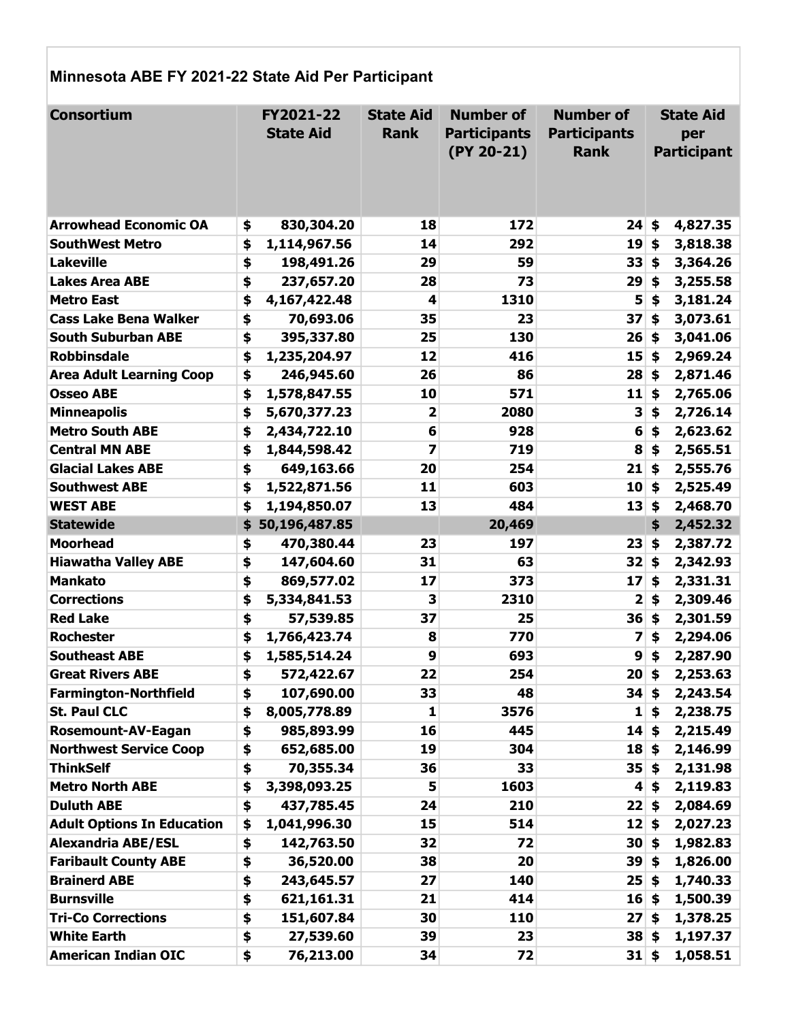# Minnesota ABE FY 2021-22 State Aid Per Participant

| <b>Consortium</b>                 | FY2021-22<br><b>State Aid</b> |              | <b>State Aid</b><br><b>Rank</b> | <b>Number of</b><br><b>Participants</b><br>$(PY 20-21)$ | <b>Number of</b><br><b>Participants</b><br><b>Rank</b> |                           | <b>State Aid</b><br>per<br><b>Participant</b> |
|-----------------------------------|-------------------------------|--------------|---------------------------------|---------------------------------------------------------|--------------------------------------------------------|---------------------------|-----------------------------------------------|
| <b>Arrowhead Economic OA</b>      | \$                            | 830,304.20   | 18                              | 172                                                     | 24                                                     | \$                        | 4,827.35                                      |
| <b>SouthWest Metro</b>            | \$                            | 1,114,967.56 | 14                              | 292                                                     | 19                                                     | \$                        | 3,818.38                                      |
| Lakeville                         | \$                            | 198,491.26   | 29                              | 59                                                      | 33                                                     | \$                        | 3,364.26                                      |
| <b>Lakes Area ABE</b>             | \$                            | 237,657.20   | 28                              | 73                                                      | 29                                                     | \$                        | 3,255.58                                      |
| <b>Metro East</b>                 | \$                            | 4,167,422.48 | 4                               | 1310                                                    | 5                                                      | \$                        | 3,181.24                                      |
| <b>Cass Lake Bena Walker</b>      | \$                            | 70,693.06    | 35                              | 23                                                      | 37                                                     | \$                        | 3,073.61                                      |
| <b>South Suburban ABE</b>         | \$                            | 395,337.80   | 25                              | 130                                                     | 26                                                     | \$                        | 3,041.06                                      |
| <b>Robbinsdale</b>                | \$                            | 1,235,204.97 | 12                              | 416                                                     | 15                                                     | \$                        | 2,969.24                                      |
| <b>Area Adult Learning Coop</b>   | \$                            | 246,945.60   | 26                              | 86                                                      | 28                                                     | \$                        | 2,871.46                                      |
| <b>Osseo ABE</b>                  | \$                            | 1,578,847.55 | 10                              | 571                                                     | 11                                                     | \$                        | 2,765.06                                      |
| <b>Minneapolis</b>                | \$                            | 5,670,377.23 | 2                               | 2080                                                    | 3                                                      | \$                        | 2,726.14                                      |
| <b>Metro South ABE</b>            | \$                            | 2,434,722.10 | 6                               | 928                                                     | 6                                                      | \$                        | 2,623.62                                      |
| <b>Central MN ABE</b>             | \$                            | 1,844,598.42 | 7                               | 719                                                     | 8                                                      | \$                        | 2,565.51                                      |
| <b>Glacial Lakes ABE</b>          | \$                            | 649,163.66   | 20                              | 254                                                     | 21                                                     | \$                        | 2,555.76                                      |
| <b>Southwest ABE</b>              | \$                            | 1,522,871.56 | 11                              | 603                                                     | 10                                                     | $\boldsymbol{\mathsf{s}}$ | 2,525.49                                      |
| <b>WEST ABE</b>                   | \$                            | 1,194,850.07 | 13                              | 484                                                     | 13                                                     | \$                        | 2,468.70                                      |
| <b>Statewide</b>                  | \$<br>50,196,487.85           |              |                                 | 20,469                                                  |                                                        | \$                        | 2,452.32                                      |
| <b>Moorhead</b>                   | \$                            | 470,380.44   | 23                              | 197                                                     | 23                                                     | Ś.                        | 2,387.72                                      |
| <b>Hiawatha Valley ABE</b>        | \$                            | 147,604.60   | 31                              | 63                                                      | 32                                                     | \$                        | 2,342.93                                      |
| <b>Mankato</b>                    | \$                            | 869,577.02   | 17                              | 373                                                     | 17                                                     | \$                        | 2,331.31                                      |
| <b>Corrections</b>                | \$                            | 5,334,841.53 | 3                               | 2310                                                    | 2                                                      | \$                        | 2,309.46                                      |
| <b>Red Lake</b>                   | \$                            | 57,539.85    | 37                              | 25                                                      | 36                                                     | \$                        | 2,301.59                                      |
| <b>Rochester</b>                  | \$                            | 1,766,423.74 | 8                               | 770                                                     | 7                                                      | \$                        | 2,294.06                                      |
| <b>Southeast ABE</b>              | \$                            | 1,585,514.24 | 9                               | 693                                                     | 9                                                      | \$                        | 2,287.90                                      |
| <b>Great Rivers ABE</b>           | \$                            | 572,422.67   | 22                              | 254                                                     | 20                                                     | \$                        | 2,253.63                                      |
| <b>Farmington-Northfield</b>      | \$                            | 107,690.00   | 33                              | 48                                                      | 34                                                     | \$                        | 2,243.54                                      |
| <b>St. Paul CLC</b>               | \$                            | 8,005,778.89 | 1                               | 3576                                                    | $\mathbf{1}$                                           | \$                        | 2,238.75                                      |
| <b>Rosemount-AV-Eagan</b>         | \$                            | 985,893.99   | 16                              | 445                                                     | 14                                                     | \$                        | 2,215.49                                      |
| <b>Northwest Service Coop</b>     | \$                            | 652,685.00   | 19                              | 304                                                     | $18$ \$                                                |                           | 2,146.99                                      |
| <b>ThinkSelf</b>                  | \$                            | 70,355.34    | 36                              | 33                                                      | $35 \,$ \$                                             |                           | 2,131.98                                      |
| <b>Metro North ABE</b>            | \$                            | 3,398,093.25 | 5                               | 1603                                                    | $\vert \mathbf{4} \vert$                               | \$                        | 2,119.83                                      |
| <b>Duluth ABE</b>                 | \$                            | 437,785.45   | 24                              | 210                                                     | 22   \$                                                |                           | 2,084.69                                      |
| <b>Adult Options In Education</b> | \$                            | 1,041,996.30 | 15                              | 514                                                     | 12                                                     | \$                        | 2,027.23                                      |
| <b>Alexandria ABE/ESL</b>         | \$                            | 142,763.50   | 32                              | 72                                                      | $30 $ \$                                               |                           | 1,982.83                                      |
| <b>Faribault County ABE</b>       | \$                            | 36,520.00    | 38                              | 20                                                      | $39 \,$ \$                                             |                           | 1,826.00                                      |
| <b>Brainerd ABE</b>               | \$                            | 243,645.57   | 27                              | 140                                                     | $25 \;$ \$                                             |                           | 1,740.33                                      |
| <b>Burnsville</b>                 | \$                            | 621,161.31   | 21                              | 414                                                     | $16 $ \$                                               |                           | 1,500.39                                      |
| <b>Tri-Co Corrections</b>         | \$                            | 151,607.84   | 30                              | 110                                                     | 27 <sub>1</sub>                                        | \$                        | 1,378.25                                      |
| <b>White Earth</b>                | \$                            | 27,539.60    | 39                              | 23                                                      | $38 $ \$                                               |                           | 1,197.37                                      |
| <b>American Indian OIC</b>        | \$                            | 76,213.00    | 34                              | 72                                                      | $31 \,$ \$                                             |                           | 1,058.51                                      |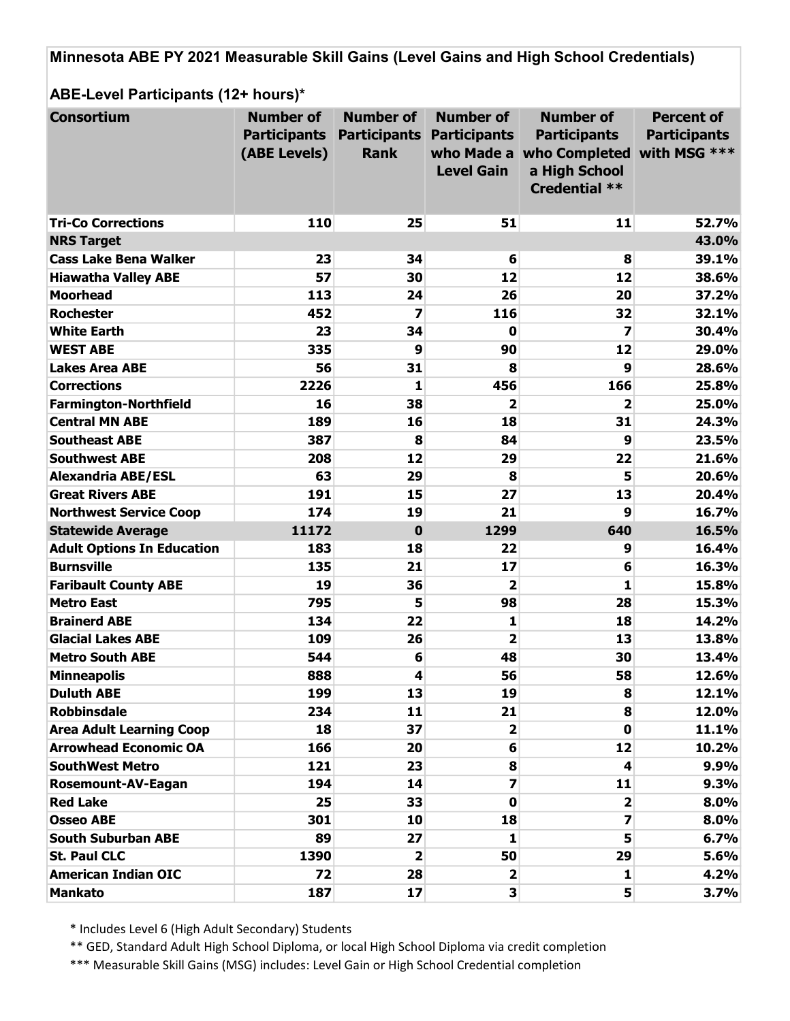Minnesota ABE PY 2021 Measurable Skill Gains (Level Gains and High School Credentials)

ABE-Level Participants (12+ hours)\*

| <b>Consortium</b>                 | <b>Number of</b>    | <b>Number of</b>        | <b>Number of</b>                 | <b>Number of</b>                      | <b>Percent of</b>   |
|-----------------------------------|---------------------|-------------------------|----------------------------------|---------------------------------------|---------------------|
|                                   | <b>Participants</b> |                         | <b>Participants Participants</b> | <b>Participants</b>                   | <b>Participants</b> |
|                                   | (ABE Levels)        | <b>Rank</b>             |                                  | who Made a who Completed with MSG *** |                     |
|                                   |                     |                         | <b>Level Gain</b>                | a High School                         |                     |
|                                   |                     |                         |                                  | <b>Credential **</b>                  |                     |
|                                   |                     |                         |                                  |                                       |                     |
| <b>Tri-Co Corrections</b>         | 110                 | 25                      | 51                               | 11                                    | 52.7%               |
| <b>NRS Target</b>                 |                     |                         |                                  |                                       | 43.0%               |
| <b>Cass Lake Bena Walker</b>      | 23                  | 34                      | 6                                | 8                                     | 39.1%               |
| <b>Hiawatha Valley ABE</b>        | 57                  | 30                      | 12                               | 12                                    | 38.6%               |
| <b>Moorhead</b>                   | 113                 | 24                      | 26                               | 20                                    | 37.2%               |
| <b>Rochester</b>                  | 452                 | 7                       | 116                              | 32                                    | 32.1%               |
| <b>White Earth</b>                | 23                  | 34                      | 0                                | 7                                     | 30.4%               |
| <b>WEST ABE</b>                   | 335                 | 9                       | 90                               | 12                                    | 29.0%               |
| <b>Lakes Area ABE</b>             | 56                  | 31                      | 8                                | 9                                     | 28.6%               |
| <b>Corrections</b>                | 2226                | 1                       | 456                              | 166                                   | 25.8%               |
| <b>Farmington-Northfield</b>      | 16                  | 38                      | 2                                | 2                                     | 25.0%               |
| <b>Central MN ABE</b>             | 189                 | 16                      | 18                               | 31                                    | 24.3%               |
| <b>Southeast ABE</b>              | 387                 | 8                       | 84                               | 9                                     | 23.5%               |
| <b>Southwest ABE</b>              | 208                 | 12                      | 29                               | 22                                    | 21.6%               |
| <b>Alexandria ABE/ESL</b>         | 63                  | 29                      | 8                                | 5                                     | 20.6%               |
| <b>Great Rivers ABE</b>           | 191                 | 15                      | 27                               | 13                                    | 20.4%               |
| <b>Northwest Service Coop</b>     | 174                 | 19                      | 21                               | 9                                     | 16.7%               |
| <b>Statewide Average</b>          | 11172               | $\bf{0}$                | 1299                             | 640                                   | 16.5%               |
| <b>Adult Options In Education</b> | 183                 | 18                      | 22                               | 9                                     | 16.4%               |
| <b>Burnsville</b>                 | 135                 | 21                      | 17                               | 6                                     | 16.3%               |
| <b>Faribault County ABE</b>       | 19                  | 36                      | 2                                | 1                                     | 15.8%               |
| <b>Metro East</b>                 | 795                 | 5                       | 98                               | 28                                    | 15.3%               |
| <b>Brainerd ABE</b>               | 134                 | 22                      | 1                                | 18                                    | 14.2%               |
| <b>Glacial Lakes ABE</b>          | 109                 | 26                      | $\overline{\mathbf{2}}$          | 13                                    | 13.8%               |
| <b>Metro South ABE</b>            | 544                 | 6                       | 48                               | 30                                    | 13.4%               |
| <b>Minneapolis</b>                | 888                 | 4                       | 56                               | 58                                    | 12.6%               |
| <b>Duluth ABE</b>                 | 199                 | 13                      | 19                               | 8                                     | 12.1%               |
| <b>Robbinsdale</b>                | 234                 | 11                      | 21                               | 8                                     | 12.0%               |
| <b>Area Adult Learning Coop</b>   | 18                  | 37                      | $\overline{\mathbf{2}}$          | $\mathbf{0}$                          | 11.1%               |
| <b>Arrowhead Economic OA</b>      | 166                 | 20                      | 6                                | 12                                    | 10.2%               |
| <b>SouthWest Metro</b>            | 121                 | 23                      | 8                                | 4                                     | 9.9%                |
| <b>Rosemount-AV-Eagan</b>         | 194                 | 14                      | $\overline{\mathbf{z}}$          | 11                                    | 9.3%                |
| <b>Red Lake</b>                   | 25                  | 33                      | $\mathbf 0$                      | $\mathbf{2}$                          | 8.0%                |
| <b>Osseo ABE</b>                  | 301                 | 10                      | 18                               | 7                                     | 8.0%                |
| <b>South Suburban ABE</b>         | 89                  | 27                      | 1                                | 5                                     | 6.7%                |
| <b>St. Paul CLC</b>               | 1390                | $\overline{\mathbf{2}}$ | 50                               | 29                                    | 5.6%                |
| <b>American Indian OIC</b>        | 72                  | 28                      | $\mathbf{2}$                     | 1                                     | 4.2%                |
| <b>Mankato</b>                    | 187                 | 17                      | $\overline{\mathbf{3}}$          | 5                                     | 3.7%                |

\* Includes Level 6 (High Adult Secondary) Students

\*\* GED, Standard Adult High School Diploma, or local High School Diploma via credit completion

\*\*\* Measurable Skill Gains (MSG) includes: Level Gain or High School Credential completion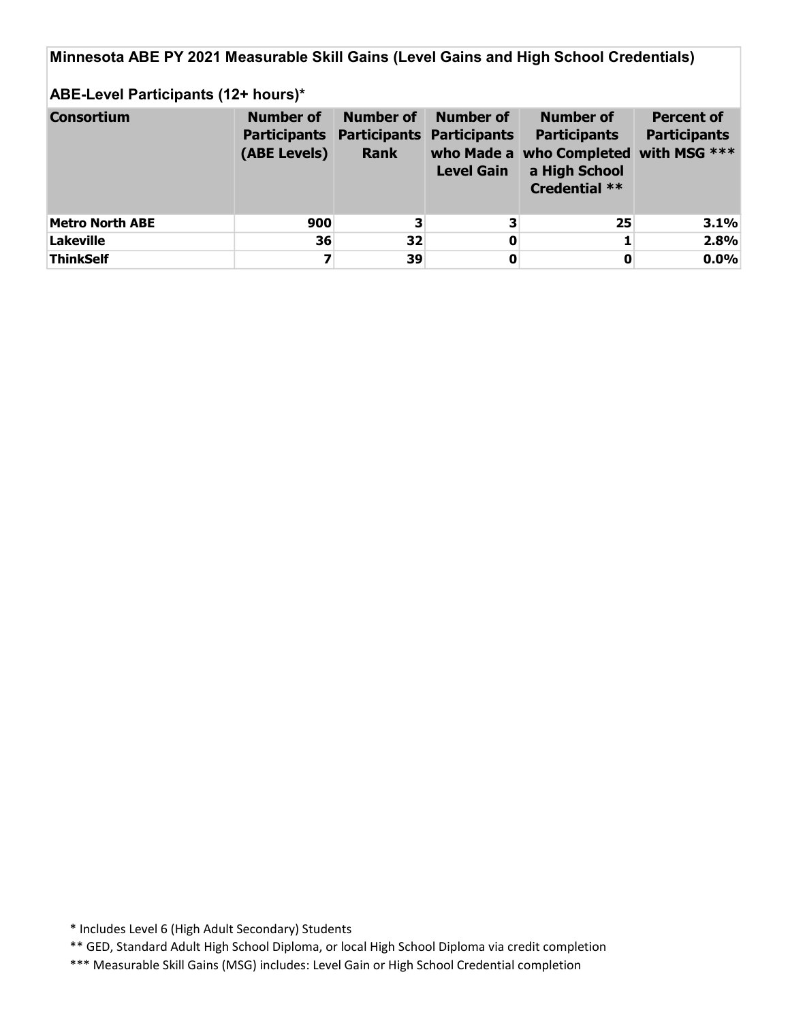Minnesota ABE PY 2021 Measurable Skill Gains (Level Gains and High School Credentials)

## ABE-Level Participants (12+ hours)\*

| <b>Consortium</b>      | <b>Number of</b><br><b>Participants Participants Participants</b><br>(ABE Levels) | <b>Number of</b><br><b>Rank</b> | Number of<br><b>Level Gain</b> | <b>Number of</b><br><b>Participants</b><br>who Made a who Completed with MSG ***<br>a High School<br><b>Credential **</b> | <b>Percent of</b><br><b>Participants</b> |
|------------------------|-----------------------------------------------------------------------------------|---------------------------------|--------------------------------|---------------------------------------------------------------------------------------------------------------------------|------------------------------------------|
| <b>Metro North ABE</b> | 900                                                                               | 3                               | 3                              | 25                                                                                                                        | 3.1%                                     |
| <b>Lakeville</b>       | 36                                                                                | 32 <sup>2</sup>                 | 0                              |                                                                                                                           | 2.8%                                     |
| <b>ThinkSelf</b>       | 7                                                                                 | 39                              | 0                              | 0                                                                                                                         | 0.0%                                     |

\* Includes Level 6 (High Adult Secondary) Students

\*\* GED, Standard Adult High School Diploma, or local High School Diploma via credit completion

\*\*\* Measurable Skill Gains (MSG) includes: Level Gain or High School Credential completion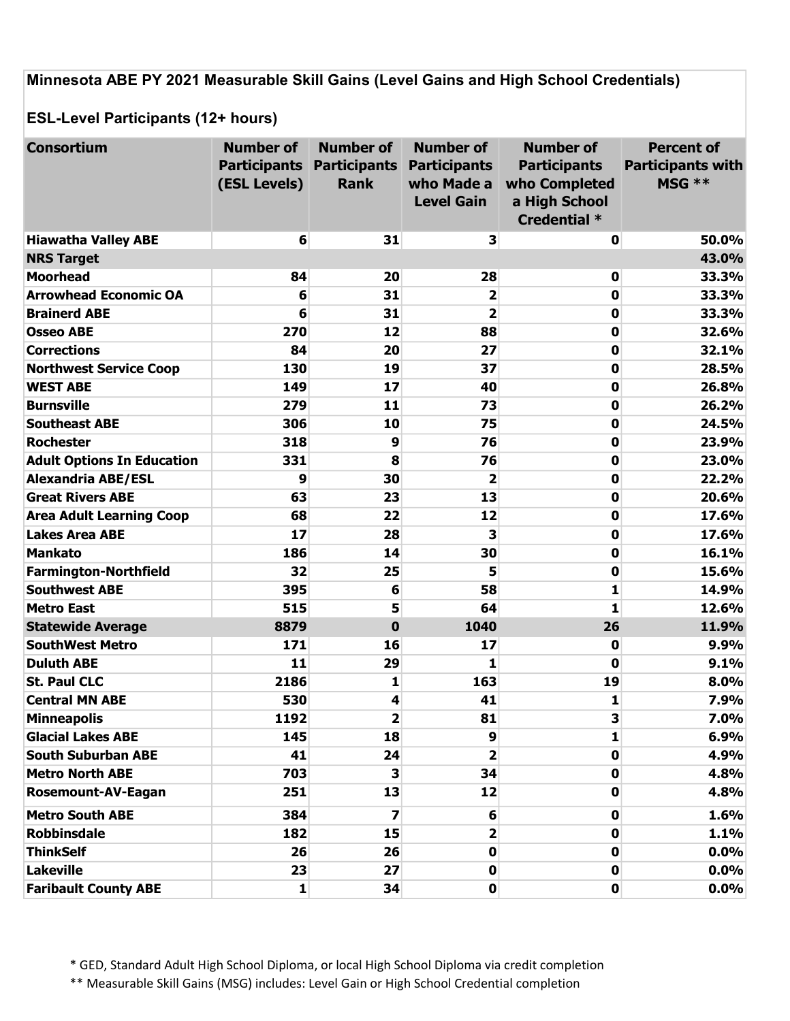Minnesota ABE PY 2021 Measurable Skill Gains (Level Gains and High School Credentials)

ESL-Level Participants (12+ hours)

| <b>Consortium</b>                 | <b>Number of</b> | <b>Number of</b>                 | <b>Number of</b>        | <b>Number of</b>    | <b>Percent of</b>        |
|-----------------------------------|------------------|----------------------------------|-------------------------|---------------------|--------------------------|
|                                   |                  | <b>Participants Participants</b> | <b>Participants</b>     | <b>Participants</b> | <b>Participants with</b> |
|                                   | (ESL Levels)     | <b>Rank</b>                      | who Made a              | who Completed       | MSG **                   |
|                                   |                  |                                  | <b>Level Gain</b>       | a High School       |                          |
|                                   |                  |                                  |                         | Credential *        |                          |
| <b>Hiawatha Valley ABE</b>        | 6                | 31                               | 3                       | $\mathbf 0$         | 50.0%                    |
| <b>NRS Target</b>                 |                  |                                  |                         |                     | 43.0%                    |
| <b>Moorhead</b>                   | 84               | 20                               | 28                      | $\mathbf 0$         | 33.3%                    |
| <b>Arrowhead Economic OA</b>      | 6                | 31                               | $\overline{\mathbf{2}}$ | $\mathbf 0$         | 33.3%                    |
| <b>Brainerd ABE</b>               | 6                | 31                               | $\overline{\mathbf{2}}$ | 0                   | 33.3%                    |
| <b>Osseo ABE</b>                  | 270              | 12                               | 88                      | 0                   | 32.6%                    |
| <b>Corrections</b>                | 84               | 20                               | 27                      | $\mathbf 0$         | 32.1%                    |
| <b>Northwest Service Coop</b>     | 130              | 19                               | 37                      | 0                   | 28.5%                    |
| <b>WEST ABE</b>                   | 149              | 17                               | 40                      | $\mathbf 0$         | 26.8%                    |
| <b>Burnsville</b>                 | 279              | 11                               | 73                      | 0                   | 26.2%                    |
| <b>Southeast ABE</b>              | 306              | 10                               | 75                      | 0                   | 24.5%                    |
| <b>Rochester</b>                  | 318              | 9                                | 76                      | $\mathbf 0$         | 23.9%                    |
| <b>Adult Options In Education</b> | 331              | 8                                | 76                      | 0                   | 23.0%                    |
| <b>Alexandria ABE/ESL</b>         | 9                | 30                               | $\overline{\mathbf{2}}$ | 0                   | 22.2%                    |
| <b>Great Rivers ABE</b>           | 63               | 23                               | 13                      | 0                   | 20.6%                    |
| <b>Area Adult Learning Coop</b>   | 68               | 22                               | 12                      | 0                   | 17.6%                    |
| <b>Lakes Area ABE</b>             | 17               | 28                               | 3                       | 0                   | 17.6%                    |
| <b>Mankato</b>                    | 186              | 14                               | 30                      | $\bf{0}$            | 16.1%                    |
| <b>Farmington-Northfield</b>      | 32               | 25                               | 5                       | 0                   | 15.6%                    |
| <b>Southwest ABE</b>              | 395              | 6                                | 58                      | 1                   | 14.9%                    |
| <b>Metro East</b>                 | 515              | 5                                | 64                      | $\mathbf{1}$        | 12.6%                    |
| <b>Statewide Average</b>          | 8879             | $\mathbf 0$                      | 1040                    | 26                  | 11.9%                    |
| <b>SouthWest Metro</b>            | 171              | 16                               | 17                      | 0                   | 9.9%                     |
| <b>Duluth ABE</b>                 | 11               | 29                               | 1                       | 0                   | 9.1%                     |
| <b>St. Paul CLC</b>               | 2186             | 1                                | 163                     | 19                  | 8.0%                     |
| <b>Central MN ABE</b>             | 530              | 4                                | 41                      | $\mathbf{1}$        | 7.9%                     |
| <b>Minneapolis</b>                | 1192             | 2                                | 81                      | 3                   | 7.0%                     |
| <b>Glacial Lakes ABE</b>          | 145              | 18                               | 9                       | 1                   | 6.9%                     |
| <b>South Suburban ABE</b>         | 41               | 24                               | $\overline{\mathbf{2}}$ | $\mathbf 0$         | 4.9%                     |
| <b>Metro North ABE</b>            | 703              | 3                                | 34                      | $\mathbf 0$         | 4.8%                     |
| <b>Rosemount-AV-Eagan</b>         | 251              | 13                               | 12                      | $\mathbf 0$         | 4.8%                     |
| <b>Metro South ABE</b>            | 384              | 7                                | 6                       | 0                   | 1.6%                     |
| <b>Robbinsdale</b>                | 182              | 15                               | 2                       | $\mathbf{0}$        | 1.1%                     |
| <b>ThinkSelf</b>                  | 26               | 26                               | $\mathbf 0$             | $\mathbf 0$         | 0.0%                     |
| Lakeville                         | 23               | 27                               | 0                       | $\mathbf 0$         | 0.0%                     |
| <b>Faribault County ABE</b>       | $\mathbf{1}$     | 34                               | 0                       | $\mathbf 0$         | 0.0%                     |

\* GED, Standard Adult High School Diploma, or local High School Diploma via credit completion

\*\* Measurable Skill Gains (MSG) includes: Level Gain or High School Credential completion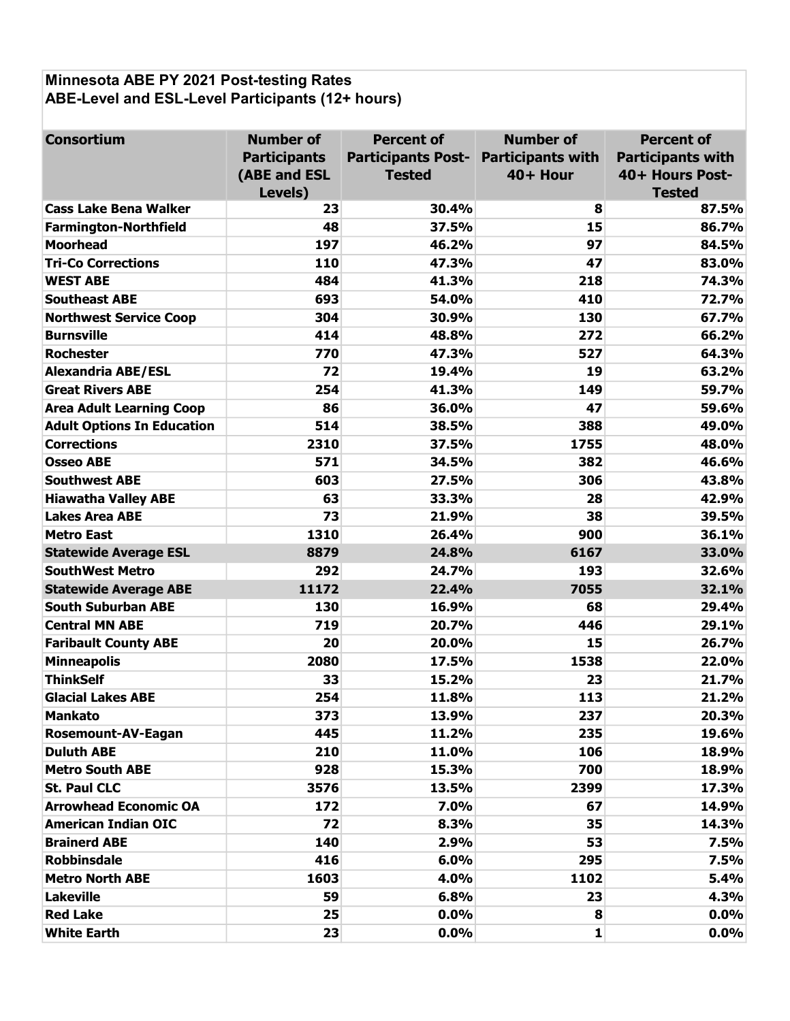# Minnesota ABE PY 2021 Post-testing Rates ABE-Level and ESL-Level Participants (12+ hours)

| <b>Consortium</b>                 | <b>Number of</b>    | <b>Percent of</b>         | <b>Number of</b>         | <b>Percent of</b>        |
|-----------------------------------|---------------------|---------------------------|--------------------------|--------------------------|
|                                   | <b>Participants</b> | <b>Participants Post-</b> | <b>Participants with</b> | <b>Participants with</b> |
|                                   | (ABE and ESL        | <b>Tested</b>             | 40+ Hour                 | 40+ Hours Post-          |
|                                   | Levels)             |                           |                          | <b>Tested</b>            |
| <b>Cass Lake Bena Walker</b>      | 23                  | 30.4%                     | 8                        | 87.5%                    |
| <b>Farmington-Northfield</b>      | 48                  | 37.5%                     | 15                       | 86.7%                    |
| <b>Moorhead</b>                   | 197                 | 46.2%                     | 97                       | 84.5%                    |
| <b>Tri-Co Corrections</b>         | 110                 | 47.3%                     | 47                       | 83.0%                    |
| <b>WEST ABE</b>                   | 484                 | 41.3%                     | 218                      | 74.3%                    |
| <b>Southeast ABE</b>              | 693                 | 54.0%                     | 410                      | 72.7%                    |
| <b>Northwest Service Coop</b>     | 304                 | 30.9%                     | 130                      | 67.7%                    |
| <b>Burnsville</b>                 | 414                 | 48.8%                     | 272                      | 66.2%                    |
| <b>Rochester</b>                  | 770                 | 47.3%                     | 527                      | 64.3%                    |
| <b>Alexandria ABE/ESL</b>         | 72                  | 19.4%                     | 19                       | 63.2%                    |
| <b>Great Rivers ABE</b>           | 254                 | 41.3%                     | 149                      | 59.7%                    |
| <b>Area Adult Learning Coop</b>   | 86                  | 36.0%                     | 47                       | 59.6%                    |
| <b>Adult Options In Education</b> | 514                 | 38.5%                     | 388                      | 49.0%                    |
| <b>Corrections</b>                | 2310                | 37.5%                     | 1755                     | 48.0%                    |
| <b>Osseo ABE</b>                  | 571                 | 34.5%                     | 382                      | 46.6%                    |
| <b>Southwest ABE</b>              | 603                 | 27.5%                     | 306                      | 43.8%                    |
| <b>Hiawatha Valley ABE</b>        | 63                  | 33.3%                     | 28                       | 42.9%                    |
| <b>Lakes Area ABE</b>             | 73                  | 21.9%                     | 38                       | 39.5%                    |
| <b>Metro East</b>                 | 1310                | 26.4%                     | 900                      | 36.1%                    |
| <b>Statewide Average ESL</b>      | 8879                | 24.8%                     | 6167                     | 33.0%                    |
| <b>SouthWest Metro</b>            | 292                 | 24.7%                     | 193                      | 32.6%                    |
| <b>Statewide Average ABE</b>      | 11172               | 22.4%                     | 7055                     | 32.1%                    |
| <b>South Suburban ABE</b>         | 130                 | 16.9%                     | 68                       | 29.4%                    |
| <b>Central MN ABE</b>             | 719                 | 20.7%                     | 446                      | 29.1%                    |
| <b>Faribault County ABE</b>       | 20                  | 20.0%                     | 15                       | 26.7%                    |
| <b>Minneapolis</b>                | 2080                | 17.5%                     | 1538                     | 22.0%                    |
| <b>ThinkSelf</b>                  | 33                  | 15.2%                     | 23                       | 21.7%                    |
| <b>Glacial Lakes ABE</b>          | 254                 | 11.8%                     | 113                      | 21.2%                    |
| <b>Mankato</b>                    | 373                 | 13.9%                     | 237                      | 20.3%                    |
| <b>Rosemount-AV-Eagan</b>         | 445                 | 11.2%                     | 235                      | 19.6%                    |
| <b>Duluth ABE</b>                 | 210                 | 11.0%                     | 106                      | 18.9%                    |
| <b>Metro South ABE</b>            | 928                 | 15.3%                     | 700                      | 18.9%                    |
| <b>St. Paul CLC</b>               | 3576                | 13.5%                     | 2399                     | 17.3%                    |
| <b>Arrowhead Economic OA</b>      | 172                 | 7.0%                      | 67                       | 14.9%                    |
| <b>American Indian OIC</b>        | 72                  | 8.3%                      | 35                       | 14.3%                    |
| <b>Brainerd ABE</b>               | 140                 | 2.9%                      | 53                       | 7.5%                     |
| <b>Robbinsdale</b>                | 416                 | 6.0%                      | 295                      | 7.5%                     |
| <b>Metro North ABE</b>            | 1603                | 4.0%                      | 1102                     | 5.4%                     |
| <b>Lakeville</b>                  | 59                  | 6.8%                      | 23                       | 4.3%                     |
| <b>Red Lake</b>                   | 25                  | 0.0%                      | 8                        | 0.0%                     |
| <b>White Earth</b>                | 23                  | $0.0\%$                   | $\mathbf{1}$             | 0.0%                     |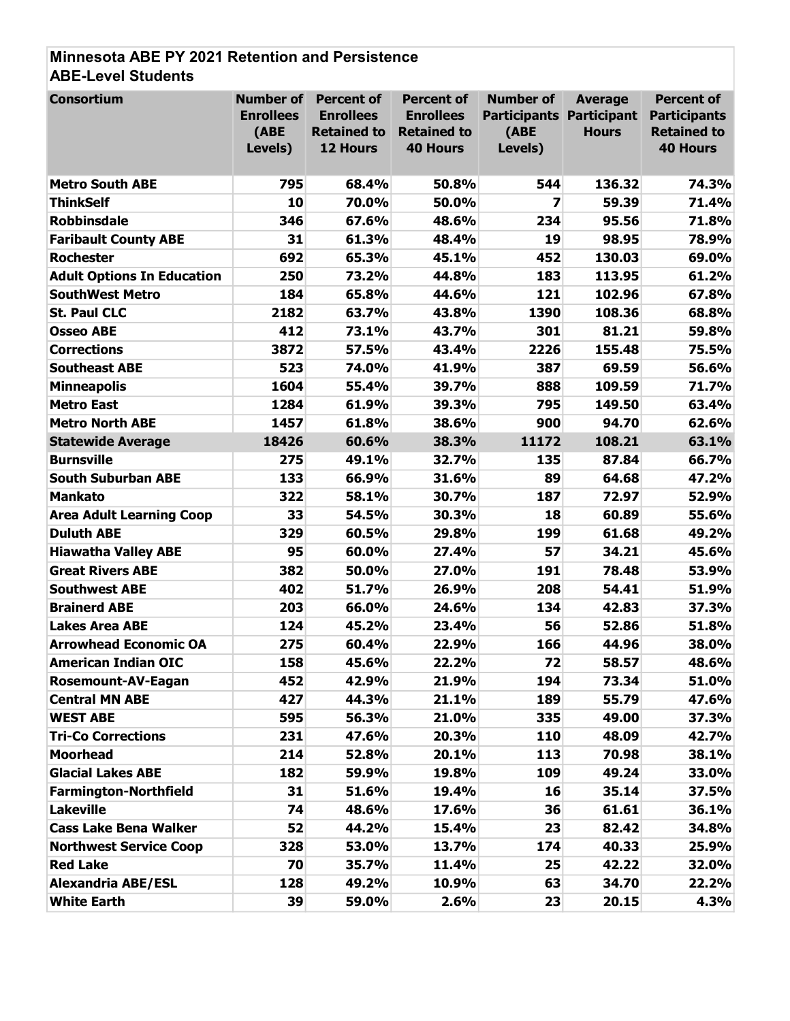## Minnesota ABE PY 2021 Retention and Persistence ABE-Level Students

| <b>Consortium</b>                 | <b>Number of</b><br><b>Enrollees</b><br>(ABE<br>Levels) | <b>Percent of</b><br><b>Enrollees</b><br><b>Retained to</b><br>12 Hours | <b>Percent of</b><br><b>Enrollees</b><br><b>Retained to</b><br><b>40 Hours</b> | <b>Number of</b><br><b>Participants Participant</b><br>(ABE<br>Levels) | <b>Average</b><br><b>Hours</b> | <b>Percent of</b><br><b>Participants</b><br><b>Retained to</b><br><b>40 Hours</b> |
|-----------------------------------|---------------------------------------------------------|-------------------------------------------------------------------------|--------------------------------------------------------------------------------|------------------------------------------------------------------------|--------------------------------|-----------------------------------------------------------------------------------|
| <b>Metro South ABE</b>            | 795                                                     | 68.4%                                                                   | 50.8%                                                                          | 544                                                                    | 136.32                         | 74.3%                                                                             |
| <b>ThinkSelf</b>                  | 10                                                      | 70.0%                                                                   | 50.0%                                                                          | $\overline{\mathbf{z}}$                                                | 59.39                          | 71.4%                                                                             |
| <b>Robbinsdale</b>                | 346                                                     | 67.6%                                                                   | 48.6%                                                                          | 234                                                                    | 95.56                          | 71.8%                                                                             |
| <b>Faribault County ABE</b>       | 31                                                      | 61.3%                                                                   | 48.4%                                                                          | 19                                                                     | 98.95                          | 78.9%                                                                             |
| <b>Rochester</b>                  | 692                                                     | 65.3%                                                                   | 45.1%                                                                          | 452                                                                    | 130.03                         | 69.0%                                                                             |
| <b>Adult Options In Education</b> | 250                                                     | 73.2%                                                                   | 44.8%                                                                          | 183                                                                    | 113.95                         | 61.2%                                                                             |
| <b>SouthWest Metro</b>            | 184                                                     | 65.8%                                                                   | 44.6%                                                                          | 121                                                                    | 102.96                         | 67.8%                                                                             |
| <b>St. Paul CLC</b>               | 2182                                                    | 63.7%                                                                   | 43.8%                                                                          | 1390                                                                   | 108.36                         | 68.8%                                                                             |
| <b>Osseo ABE</b>                  | 412                                                     | 73.1%                                                                   | 43.7%                                                                          | 301                                                                    | 81.21                          | 59.8%                                                                             |
| <b>Corrections</b>                | 3872                                                    | 57.5%                                                                   | 43.4%                                                                          | 2226                                                                   | 155.48                         | 75.5%                                                                             |
| <b>Southeast ABE</b>              | 523                                                     | 74.0%                                                                   | 41.9%                                                                          | 387                                                                    | 69.59                          | 56.6%                                                                             |
| <b>Minneapolis</b>                | 1604                                                    | 55.4%                                                                   | 39.7%                                                                          | 888                                                                    | 109.59                         | 71.7%                                                                             |
| <b>Metro East</b>                 | 1284                                                    | 61.9%                                                                   | 39.3%                                                                          | 795                                                                    | 149.50                         | 63.4%                                                                             |
| <b>Metro North ABE</b>            | 1457                                                    | 61.8%                                                                   | 38.6%                                                                          | 900                                                                    | 94.70                          | 62.6%                                                                             |
| <b>Statewide Average</b>          | 18426                                                   | 60.6%                                                                   | 38.3%                                                                          | 11172                                                                  | 108.21                         | 63.1%                                                                             |
| <b>Burnsville</b>                 | 275                                                     | 49.1%                                                                   | 32.7%                                                                          | 135                                                                    | 87.84                          | 66.7%                                                                             |
| <b>South Suburban ABE</b>         | 133                                                     | 66.9%                                                                   | 31.6%                                                                          | 89                                                                     | 64.68                          | 47.2%                                                                             |
| <b>Mankato</b>                    | 322                                                     | 58.1%                                                                   | 30.7%                                                                          | 187                                                                    | 72.97                          | 52.9%                                                                             |
| <b>Area Adult Learning Coop</b>   | 33                                                      | 54.5%                                                                   | 30.3%                                                                          | 18                                                                     | 60.89                          | 55.6%                                                                             |
| <b>Duluth ABE</b>                 | 329                                                     | 60.5%                                                                   | 29.8%                                                                          | 199                                                                    | 61.68                          | 49.2%                                                                             |
| <b>Hiawatha Valley ABE</b>        | 95                                                      | 60.0%                                                                   | 27.4%                                                                          | 57                                                                     | 34.21                          | 45.6%                                                                             |
| <b>Great Rivers ABE</b>           | 382                                                     | 50.0%                                                                   | 27.0%                                                                          | 191                                                                    | 78.48                          | 53.9%                                                                             |
| <b>Southwest ABE</b>              | 402                                                     | 51.7%                                                                   | 26.9%                                                                          | 208                                                                    | 54.41                          | 51.9%                                                                             |
| <b>Brainerd ABE</b>               | 203                                                     | 66.0%                                                                   | 24.6%                                                                          | 134                                                                    | 42.83                          | 37.3%                                                                             |
| <b>Lakes Area ABE</b>             | 124                                                     | 45.2%                                                                   | 23.4%                                                                          | 56                                                                     | 52.86                          | 51.8%                                                                             |
| <b>Arrowhead Economic OA</b>      | 275                                                     | 60.4%                                                                   | 22.9%                                                                          | 166                                                                    | 44.96                          | 38.0%                                                                             |
| <b>American Indian OIC</b>        | 158                                                     | 45.6%                                                                   | 22.2%                                                                          | 72                                                                     | 58.57                          | 48.6%                                                                             |
| <b>Rosemount-AV-Eagan</b>         | 452                                                     | 42.9%                                                                   | 21.9%                                                                          | 194                                                                    | 73.34                          | 51.0%                                                                             |
| <b>Central MN ABE</b>             | 427                                                     | 44.3%                                                                   | 21.1%                                                                          | 189                                                                    | 55.79                          | 47.6%                                                                             |
| <b>WEST ABE</b>                   | 595                                                     | 56.3%                                                                   | 21.0%                                                                          | 335                                                                    | 49.00                          | 37.3%                                                                             |
| <b>Tri-Co Corrections</b>         | 231                                                     | 47.6%                                                                   | 20.3%                                                                          | 110                                                                    | 48.09                          | 42.7%                                                                             |
| <b>Moorhead</b>                   | 214                                                     | 52.8%                                                                   | 20.1%                                                                          | 113                                                                    | 70.98                          | 38.1%                                                                             |
| <b>Glacial Lakes ABE</b>          | 182                                                     | 59.9%                                                                   | 19.8%                                                                          | 109                                                                    | 49.24                          | 33.0%                                                                             |
| <b>Farmington-Northfield</b>      | 31                                                      | 51.6%                                                                   | 19.4%                                                                          | 16                                                                     | 35.14                          | 37.5%                                                                             |
| <b>Lakeville</b>                  | 74                                                      | 48.6%                                                                   | 17.6%                                                                          | 36                                                                     | 61.61                          | 36.1%                                                                             |
| <b>Cass Lake Bena Walker</b>      | 52                                                      | 44.2%                                                                   | 15.4%                                                                          | 23                                                                     | 82.42                          | 34.8%                                                                             |
| <b>Northwest Service Coop</b>     | 328                                                     | 53.0%                                                                   | 13.7%                                                                          | 174                                                                    | 40.33                          | 25.9%                                                                             |
| <b>Red Lake</b>                   | 70                                                      | 35.7%                                                                   | 11.4%                                                                          | 25                                                                     | 42.22                          | 32.0%                                                                             |
| <b>Alexandria ABE/ESL</b>         | 128                                                     | 49.2%                                                                   | 10.9%                                                                          | 63                                                                     | 34.70                          | 22.2%                                                                             |
| <b>White Earth</b>                | 39                                                      | 59.0%                                                                   | 2.6%                                                                           | 23                                                                     | 20.15                          | 4.3%                                                                              |